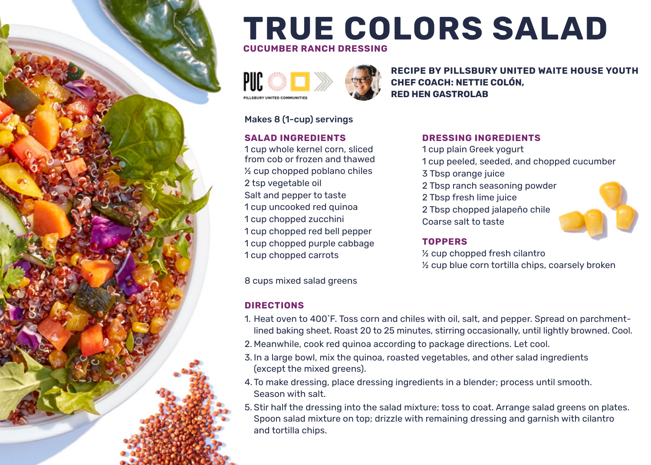

# **TRUE COLORS SALAD**

**CUCUMBER RANCH DRESSING**



**RECIPE BY PILLSBURY UNITED WAITE HOUSE YOUTH CHEF COACH: NETTIE COLÓN, RED HEN GASTROLAB**

#### Makes 8 (1-cup) servings

#### **SALAD INGREDIENTS**

1 cup whole kernel corn, sliced from cob or frozen and thawed ½ cup chopped poblano chiles 2 tsp vegetable oil Salt and pepper to taste 1 cup uncooked red quinoa 1 cup chopped zucchini 1 cup chopped red bell pepper 1 cup chopped purple cabbage 1 cup chopped carrots

#### **DRESSING INGREDIENTS**

1 cup plain Greek yogurt 1 cup peeled, seeded, and chopped cucumber 3 Tbsp orange juice 2 Tbsp ranch seasoning powder 2 Tbsp fresh lime juice 2 Tbsp chopped jalapeño chile Coarse salt to taste

#### **TOPPERS**

½ cup chopped fresh cilantro ½ cup blue corn tortilla chips, coarsely broken

8 cups mixed salad greens

#### **DIRECTIONS**

- 1. Heat oven to 400˚F. Toss corn and chiles with oil, salt, and pepper. Spread on parchmentlined baking sheet. Roast 20 to 25 minutes, stirring occasionally, until lightly browned. Cool.
- 2. Meanwhile, cook red quinoa according to package directions. Let cool.
- 3. In a large bowl, mix the quinoa, roasted vegetables, and other salad ingredients (except the mixed greens).
- 4. To make dressing, place dressing ingredients in a blender; process until smooth. Season with salt.
- 5. Stir half the dressing into the salad mixture; toss to coat. Arrange salad greens on plates. Spoon salad mixture on top; drizzle with remaining dressing and garnish with cilantro and tortilla chips.